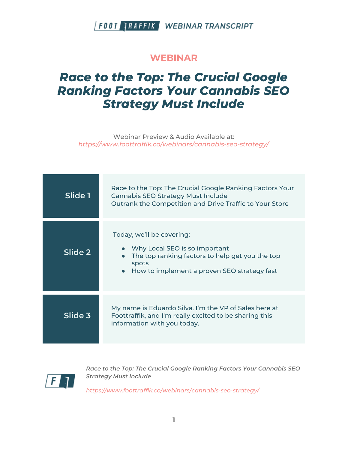#### **WEBINAR**

# *Race to the Top: The Crucial Google Ranking Factors Your Cannabis SEO Strategy Must Include*

Webinar Preview & Audio Available at: *https://www.foottraffik.co/webinars/cannabis-seo-strategy/*

| Slide 1 | Race to the Top: The Crucial Google Ranking Factors Your<br><b>Cannabis SEO Strategy Must Include</b><br>Outrank the Competition and Drive Traffic to Your Store                   |
|---------|------------------------------------------------------------------------------------------------------------------------------------------------------------------------------------|
| Slide 2 | Today, we'll be covering:<br>Why Local SEO is so important<br>The top ranking factors to help get you the top<br>spots<br>How to implement a proven SEO strategy fast<br>$\bullet$ |
| Slide 3 | My name is Eduardo Silva. I'm the VP of Sales here at<br>Foottraffik, and I'm really excited to be sharing this<br>information with you today.                                     |



*Race to the Top: The Crucial Google Ranking Factors Your Cannabis SEO Strategy Must Include*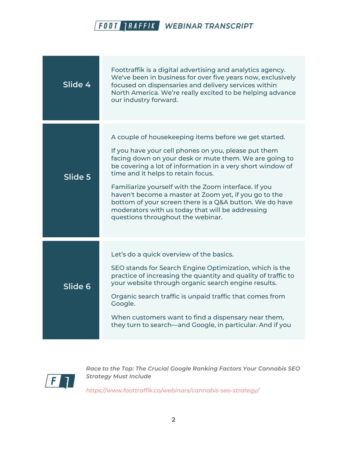

| Slide 4 | Foottraffik is a digital advertising and analytics agency.<br>We've been in business for over five years now, exclusively<br>focused on dispensaries and delivery services within<br>North America. We're really excited to be helping advance<br>our industry forward.                                                                                                                                                                                                                                                                          |
|---------|--------------------------------------------------------------------------------------------------------------------------------------------------------------------------------------------------------------------------------------------------------------------------------------------------------------------------------------------------------------------------------------------------------------------------------------------------------------------------------------------------------------------------------------------------|
| Slide 5 | A couple of housekeeping items before we get started.<br>If you have your cell phones on you, please put them<br>facing down on your desk or mute them. We are going to<br>be covering a lot of information in a very short window of<br>time and it helps to retain focus.<br>Familiarize yourself with the Zoom interface. If you<br>haven't become a master at Zoom yet, if you go to the<br>bottom of your screen there is a Q&A button. We do have<br>moderators with us today that will be addressing<br>questions throughout the webinar. |
| Slide 6 | Let's do a quick overview of the basics.<br>SEO stands for Search Engine Optimization, which is the<br>practice of increasing the quantity and quality of traffic to<br>your website through organic search engine results.<br>Organic search traffic is unpaid traffic that comes from<br>Google.<br>When customers want to find a dispensary near them,<br>they turn to search—and Google, in particular. And if you                                                                                                                           |



*Race to the Top: The Crucial Google Ranking Factors Your Cannabis SEO Strategy Must Include*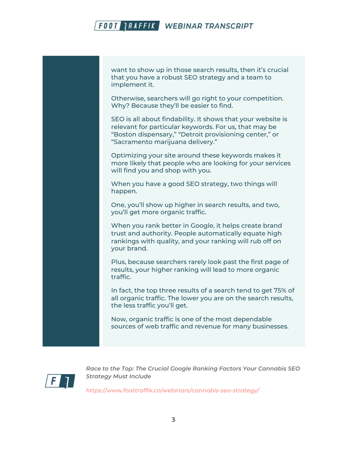want to show up in those search results, then it's crucial that you have a robust SEO strategy and a team to implement it.

Otherwise, searchers will go right to your competition. Why? Because they'll be easier to find.

SEO is all about findability. It shows that your website is relevant for particular keywords. For us, that may be "Boston dispensary," "Detroit provisioning center," or "Sacramento marijuana delivery."

Optimizing your site around these keywords makes it more likely that people who are looking for your services will find you and shop with you.

When you have a good SEO strategy, two things will happen.

One, you'll show up higher in search results, and two, you'll get more organic traffic.

When you rank better in Google, it helps create brand trust and authority. People automatically equate high rankings with quality, and your ranking will rub off on your brand.

Plus, because searchers rarely look past the first page of results, your higher ranking will lead to more organic traffic.

In fact, the top three results of a search tend to get 75% of all organic traffic. The lower you are on the search results, the less traffic you'll get.

Now, organic traffic is one of the most dependable sources of web traffic and revenue for many businesses.



*Race to the Top: The Crucial Google Ranking Factors Your Cannabis SEO Strategy Must Include*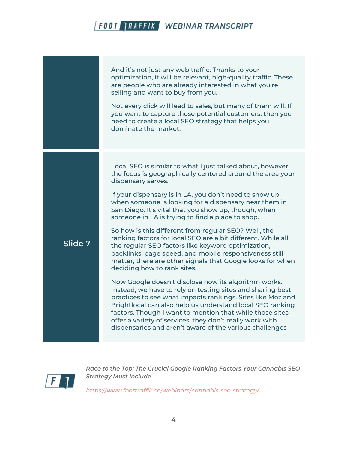And it's not just any web traffic. Thanks to your optimization, it will be relevant, high-quality traffic. These are people who are already interested in what you're selling and want to buy from you. Not every click will lead to sales, but many of them will. If you want to capture those potential customers, then you need to create a local SEO strategy that helps you dominate the market. **Slide 7** Local SEO is similar to what I just talked about, however, the focus is geographically centered around the area your dispensary serves. If your dispensary is in LA, you don't need to show up when someone is looking for a dispensary near them in San Diego. It's vital that you show up, though, when someone in LA is trying to find a place to shop. So how is this different from regular SEO? Well, the ranking factors for local SEO are a bit different. While all the regular SEO factors like keyword optimization, backlinks, page speed, and mobile responsiveness still matter, there are other signals that Google looks for when deciding how to rank sites. Now Google doesn't disclose how its algorithm works. Instead, we have to rely on testing sites and sharing best practices to see what impacts rankings. Sites like Moz and Brightlocal can also help us understand local SEO ranking factors. Though I want to mention that while those sites offer a variety of services, they don't really work with dispensaries and aren't aware of the various challenges



*Race to the Top: The Crucial Google Ranking Factors Your Cannabis SEO Strategy Must Include*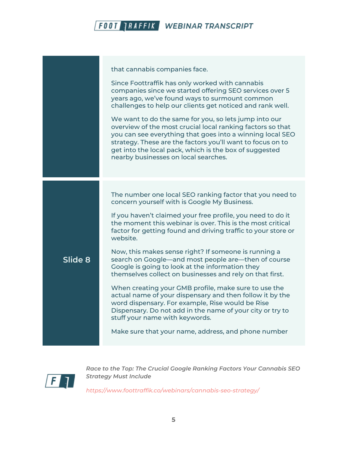

that cannabis companies face.

Since Foottraffik has only worked with cannabis companies since we started offering SEO services over 5 years ago, we've found ways to surmount common challenges to help our clients get noticed and rank well.

We want to do the same for you, so lets jump into our overview of the most crucial local ranking factors so that you can see everything that goes into a winning local SEO strategy. These are the factors you'll want to focus on to get into the local pack, which is the box of suggested nearby businesses on local searches.

The number one local SEO ranking factor that you need to concern yourself with is Google My Business.

If you haven't claimed your free profile, you need to do it the moment this webinar is over. This is the most critical factor for getting found and driving traffic to your store or website.

Now, this makes sense right? If someone is running a search on Google—and most people are—then of course Google is going to look at the information they themselves collect on businesses and rely on that first.

When creating your GMB profile, make sure to use the actual name of your dispensary and then follow it by the word dispensary. For example, Rise would be Rise Dispensary. Do not add in the name of your city or try to stuff your name with keywords.

Make sure that your name, address, and phone number



**Slide 8**

*Race to the Top: The Crucial Google Ranking Factors Your Cannabis SEO Strategy Must Include*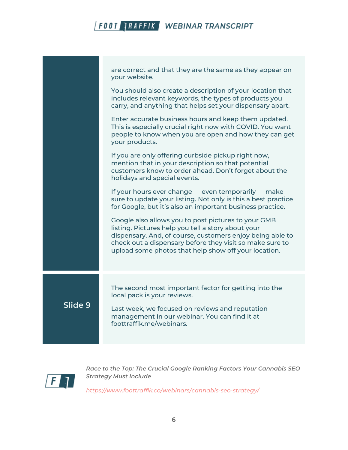|         | are correct and that they are the same as they appear on<br>your website.                                                                                                                                                                                                                  |
|---------|--------------------------------------------------------------------------------------------------------------------------------------------------------------------------------------------------------------------------------------------------------------------------------------------|
|         | You should also create a description of your location that<br>includes relevant keywords, the types of products you<br>carry, and anything that helps set your dispensary apart.                                                                                                           |
|         | Enter accurate business hours and keep them updated.<br>This is especially crucial right now with COVID. You want<br>people to know when you are open and how they can get<br>your products.                                                                                               |
|         | If you are only offering curbside pickup right now,<br>mention that in your description so that potential<br>customers know to order ahead. Don't forget about the<br>holidays and special events.                                                                                         |
|         | If your hours ever change - even temporarily - make<br>sure to update your listing. Not only is this a best practice<br>for Google, but it's also an important business practice.                                                                                                          |
|         | Google also allows you to post pictures to your GMB<br>listing. Pictures help you tell a story about your<br>dispensary. And, of course, customers enjoy being able to<br>check out a dispensary before they visit so make sure to<br>upload some photos that help show off your location. |
| Slide 9 | The second most important factor for getting into the<br>local pack is your reviews.<br>Last week, we focused on reviews and reputation<br>management in our webinar. You can find it at<br>foottraffik.me/webinars.                                                                       |
|         |                                                                                                                                                                                                                                                                                            |



*Race to the Top: The Crucial Google Ranking Factors Your Cannabis SEO Strategy Must Include*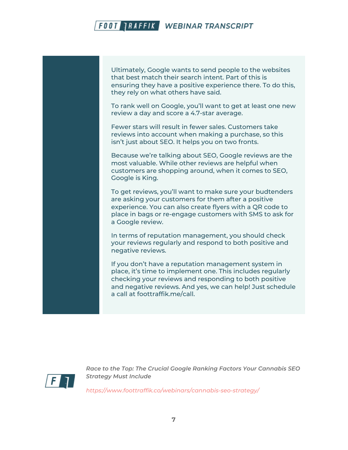Ultimately, Google wants to send people to the websites that best match their search intent. Part of this is ensuring they have a positive experience there. To do this, they rely on what others have said.

To rank well on Google, you'll want to get at least one new review a day and score a 4.7-star average.

Fewer stars will result in fewer sales. Customers take reviews into account when making a purchase, so this isn't just about SEO. It helps you on two fronts.

Because we're talking about SEO, Google reviews are the most valuable. While other reviews are helpful when customers are shopping around, when it comes to SEO, Google is King.

To get reviews, you'll want to make sure your budtenders are asking your customers for them after a positive experience. You can also create flyers with a QR code to place in bags or re-engage customers with SMS to ask for a Google review.

In terms of reputation management, you should check your reviews regularly and respond to both positive and negative reviews.

If you don't have a reputation management system in place, it's time to implement one. This includes regularly checking your reviews and responding to both positive and negative reviews. And yes, we can help! Just schedule a call at foottraffik.me/call.



*Race to the Top: The Crucial Google Ranking Factors Your Cannabis SEO Strategy Must Include*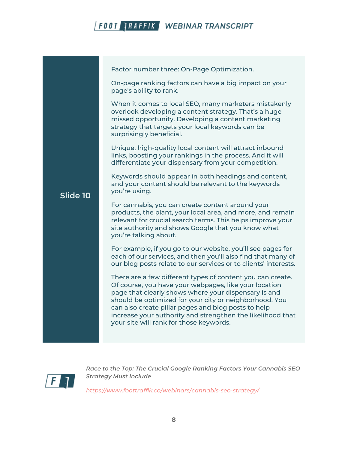

|          | Factor number three: On-Page Optimization.                                                                                                                                                                                                                                                                                                                                                            |
|----------|-------------------------------------------------------------------------------------------------------------------------------------------------------------------------------------------------------------------------------------------------------------------------------------------------------------------------------------------------------------------------------------------------------|
| Slide 10 | On-page ranking factors can have a big impact on your<br>page's ability to rank.                                                                                                                                                                                                                                                                                                                      |
|          | When it comes to local SEO, many marketers mistakenly<br>overlook developing a content strategy. That's a huge<br>missed opportunity. Developing a content marketing<br>strategy that targets your local keywords can be<br>surprisingly beneficial.                                                                                                                                                  |
|          | Unique, high-quality local content will attract inbound<br>links, boosting your rankings in the process. And it will<br>differentiate your dispensary from your competition.                                                                                                                                                                                                                          |
|          | Keywords should appear in both headings and content,<br>and your content should be relevant to the keywords<br>you're using.                                                                                                                                                                                                                                                                          |
|          | For cannabis, you can create content around your<br>products, the plant, your local area, and more, and remain<br>relevant for crucial search terms. This helps improve your<br>site authority and shows Google that you know what<br>you're talking about.                                                                                                                                           |
|          | For example, if you go to our website, you'll see pages for<br>each of our services, and then you'll also find that many of<br>our blog posts relate to our services or to clients' interests.                                                                                                                                                                                                        |
|          | There are a few different types of content you can create.<br>Of course, you have your webpages, like your location<br>page that clearly shows where your dispensary is and<br>should be optimized for your city or neighborhood. You<br>can also create pillar pages and blog posts to help<br>increase your authority and strengthen the likelihood that<br>your site will rank for those keywords. |
|          |                                                                                                                                                                                                                                                                                                                                                                                                       |



*Race to the Top: The Crucial Google Ranking Factors Your Cannabis SEO Strategy Must Include*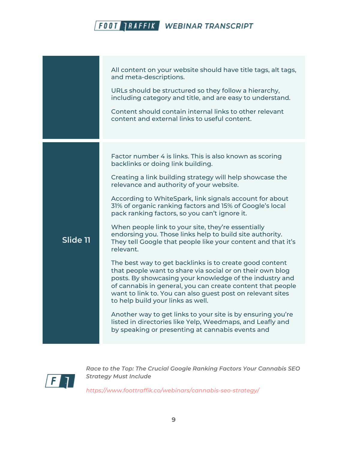|          | All content on your website should have title tags, alt tags,<br>and meta-descriptions.<br>URLs should be structured so they follow a hierarchy,<br>including category and title, and are easy to understand.<br>Content should contain internal links to other relevant<br>content and external links to useful content.                                                                                                                                                                                                                                                                                                                                                                                                                                                                                                                                                                                                                                                                                                                                                                                       |
|----------|-----------------------------------------------------------------------------------------------------------------------------------------------------------------------------------------------------------------------------------------------------------------------------------------------------------------------------------------------------------------------------------------------------------------------------------------------------------------------------------------------------------------------------------------------------------------------------------------------------------------------------------------------------------------------------------------------------------------------------------------------------------------------------------------------------------------------------------------------------------------------------------------------------------------------------------------------------------------------------------------------------------------------------------------------------------------------------------------------------------------|
| Slide 11 | Factor number 4 is links. This is also known as scoring<br>backlinks or doing link building.<br>Creating a link building strategy will help showcase the<br>relevance and authority of your website.<br>According to WhiteSpark, link signals account for about<br>31% of organic ranking factors and 15% of Google's local<br>pack ranking factors, so you can't ignore it.<br>When people link to your site, they're essentially<br>endorsing you. Those links help to build site authority.<br>They tell Google that people like your content and that it's<br>relevant.<br>The best way to get backlinks is to create good content<br>that people want to share via social or on their own blog<br>posts. By showcasing your knowledge of the industry and<br>of cannabis in general, you can create content that people<br>want to link to. You can also guest post on relevant sites<br>to help build your links as well.<br>Another way to get links to your site is by ensuring you're<br>listed in directories like Yelp, Weedmaps, and Leafly and<br>by speaking or presenting at cannabis events and |
|          |                                                                                                                                                                                                                                                                                                                                                                                                                                                                                                                                                                                                                                                                                                                                                                                                                                                                                                                                                                                                                                                                                                                 |



*Race to the Top: The Crucial Google Ranking Factors Your Cannabis SEO Strategy Must Include*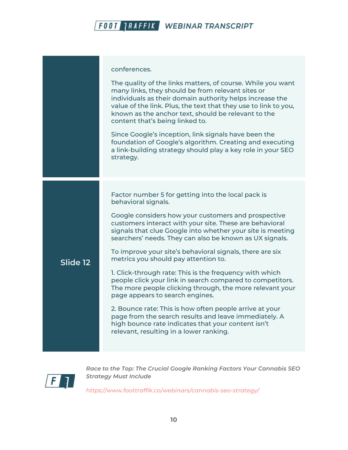|          | conferences.<br>The quality of the links matters, of course. While you want<br>many links, they should be from relevant sites or<br>individuals as their domain authority helps increase the<br>value of the link. Plus, the text that they use to link to you,<br>known as the anchor text, should be relevant to the<br>content that's being linked to.<br>Since Google's inception, link signals have been the<br>foundation of Google's algorithm. Creating and executing<br>a link-building strategy should play a key role in your SEO<br>strategy.                                                                                                                                                                                                                                                                                                            |
|----------|----------------------------------------------------------------------------------------------------------------------------------------------------------------------------------------------------------------------------------------------------------------------------------------------------------------------------------------------------------------------------------------------------------------------------------------------------------------------------------------------------------------------------------------------------------------------------------------------------------------------------------------------------------------------------------------------------------------------------------------------------------------------------------------------------------------------------------------------------------------------|
| Slide 12 | Factor number 5 for getting into the local pack is<br>behavioral signals.<br>Google considers how your customers and prospective<br>customers interact with your site. These are behavioral<br>signals that clue Google into whether your site is meeting<br>searchers' needs. They can also be known as UX signals.<br>To improve your site's behavioral signals, there are six<br>metrics you should pay attention to.<br>1. Click-through rate: This is the frequency with which<br>people click your link in search compared to competitors.<br>The more people clicking through, the more relevant your<br>page appears to search engines.<br>2. Bounce rate: This is how often people arrive at your<br>page from the search results and leave immediately. A<br>high bounce rate indicates that your content isn't<br>relevant, resulting in a lower ranking. |



*Race to the Top: The Crucial Google Ranking Factors Your Cannabis SEO Strategy Must Include*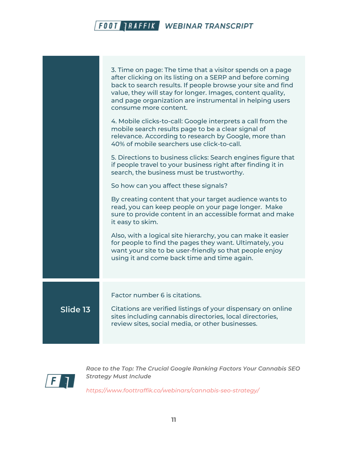|          | 3. Time on page: The time that a visitor spends on a page<br>after clicking on its listing on a SERP and before coming<br>back to search results. If people browse your site and find<br>value, they will stay for longer. Images, content quality,<br>and page organization are instrumental in helping users<br>consume more content.<br>4. Mobile clicks-to-call: Google interprets a call from the<br>mobile search results page to be a clear signal of<br>relevance. According to research by Google, more than<br>40% of mobile searchers use click-to-call.<br>5. Directions to business clicks: Search engines figure that<br>if people travel to your business right after finding it in<br>search, the business must be trustworthy.<br>So how can you affect these signals?<br>By creating content that your target audience wants to<br>read, you can keep people on your page longer. Make<br>sure to provide content in an accessible format and make<br>it easy to skim.<br>Also, with a logical site hierarchy, you can make it easier<br>for people to find the pages they want. Ultimately, you<br>want your site to be user-friendly so that people enjoy<br>using it and come back time and time again. |
|----------|------------------------------------------------------------------------------------------------------------------------------------------------------------------------------------------------------------------------------------------------------------------------------------------------------------------------------------------------------------------------------------------------------------------------------------------------------------------------------------------------------------------------------------------------------------------------------------------------------------------------------------------------------------------------------------------------------------------------------------------------------------------------------------------------------------------------------------------------------------------------------------------------------------------------------------------------------------------------------------------------------------------------------------------------------------------------------------------------------------------------------------------------------------------------------------------------------------------------------|
| Slide 13 | Factor number 6 is citations.<br>Citations are verified listings of your dispensary on online<br>sites including cannabis directories, local directories,<br>review sites, social media, or other businesses.                                                                                                                                                                                                                                                                                                                                                                                                                                                                                                                                                                                                                                                                                                                                                                                                                                                                                                                                                                                                                |



*Race to the Top: The Crucial Google Ranking Factors Your Cannabis SEO Strategy Must Include*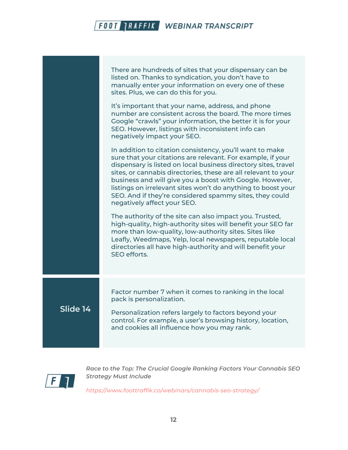|          | There are hundreds of sites that your dispensary can be<br>listed on. Thanks to syndication, you don't have to<br>manually enter your information on every one of these<br>sites. Plus, we can do this for you.<br>It's important that your name, address, and phone<br>number are consistent across the board. The more times<br>Google "crawls" your information, the better it is for your<br>SEO. However, listings with inconsistent info can<br>negatively impact your SEO.<br>In addition to citation consistency, you'll want to make<br>sure that your citations are relevant. For example, if your<br>dispensary is listed on local business directory sites, travel<br>sites, or cannabis directories, these are all relevant to your<br>business and will give you a boost with Google. However,<br>listings on irrelevant sites won't do anything to boost your<br>SEO. And if they're considered spammy sites, they could<br>negatively affect your SEO.<br>The authority of the site can also impact you. Trusted,<br>high-quality, high-authority sites will benefit your SEO far<br>more than low-quality, low-authority sites. Sites like<br>Leafly, Weedmaps, Yelp, local newspapers, reputable local<br>directories all have high-authority and will benefit your<br><b>SEO</b> efforts. |
|----------|--------------------------------------------------------------------------------------------------------------------------------------------------------------------------------------------------------------------------------------------------------------------------------------------------------------------------------------------------------------------------------------------------------------------------------------------------------------------------------------------------------------------------------------------------------------------------------------------------------------------------------------------------------------------------------------------------------------------------------------------------------------------------------------------------------------------------------------------------------------------------------------------------------------------------------------------------------------------------------------------------------------------------------------------------------------------------------------------------------------------------------------------------------------------------------------------------------------------------------------------------------------------------------------------------------------|
| Slide 14 | Factor number 7 when it comes to ranking in the local<br>pack is personalization.<br>Personalization refers largely to factors beyond your<br>control. For example, a user's browsing history, location,<br>and cookies all influence how you may rank.                                                                                                                                                                                                                                                                                                                                                                                                                                                                                                                                                                                                                                                                                                                                                                                                                                                                                                                                                                                                                                                      |



*Race to the Top: The Crucial Google Ranking Factors Your Cannabis SEO Strategy Must Include*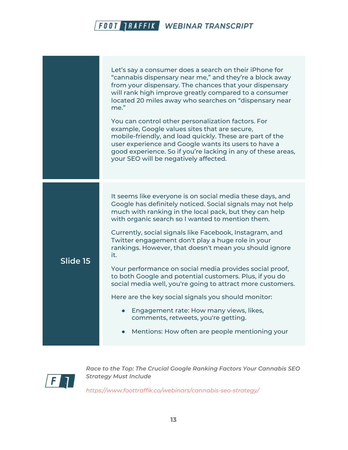|          | Let's say a consumer does a search on their iPhone for<br>"cannabis dispensary near me," and they're a block away<br>from your dispensary. The chances that your dispensary<br>will rank high improve greatly compared to a consumer<br>located 20 miles away who searches on "dispensary near<br>me."                           |
|----------|----------------------------------------------------------------------------------------------------------------------------------------------------------------------------------------------------------------------------------------------------------------------------------------------------------------------------------|
|          | You can control other personalization factors. For<br>example, Google values sites that are secure,<br>mobile-friendly, and load quickly. These are part of the<br>user experience and Google wants its users to have a<br>good experience. So if you're lacking in any of these areas,<br>your SEO will be negatively affected. |
|          |                                                                                                                                                                                                                                                                                                                                  |
| Slide 15 | It seems like everyone is on social media these days, and<br>Google has definitely noticed. Social signals may not help<br>much with ranking in the local pack, but they can help<br>with organic search so I wanted to mention them.                                                                                            |
|          | Currently, social signals like Facebook, Instagram, and<br>Twitter engagement don't play a huge role in your<br>rankings. However, that doesn't mean you should ignore<br>it.                                                                                                                                                    |
|          | Your performance on social media provides social proof,<br>to both Google and potential customers. Plus, if you do<br>social media well, you're going to attract more customers.                                                                                                                                                 |
|          | Here are the key social signals you should monitor:                                                                                                                                                                                                                                                                              |
|          | Engagement rate: How many views, likes,<br>comments, retweets, you're getting.                                                                                                                                                                                                                                                   |
|          | Mentions: How often are people mentioning your                                                                                                                                                                                                                                                                                   |



*Race to the Top: The Crucial Google Ranking Factors Your Cannabis SEO Strategy Must Include*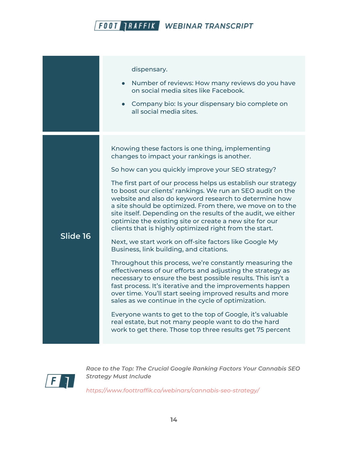|          | dispensary.<br>• Number of reviews: How many reviews do you have<br>on social media sites like Facebook.<br>• Company bio: Is your dispensary bio complete on<br>all social media sites.                                                                                                                                                                                                                                                                                                                                                                                                                                                                                                                                                                                                                                                                                                                                                                                                                                                                                                                                                                                                                                                                     |
|----------|--------------------------------------------------------------------------------------------------------------------------------------------------------------------------------------------------------------------------------------------------------------------------------------------------------------------------------------------------------------------------------------------------------------------------------------------------------------------------------------------------------------------------------------------------------------------------------------------------------------------------------------------------------------------------------------------------------------------------------------------------------------------------------------------------------------------------------------------------------------------------------------------------------------------------------------------------------------------------------------------------------------------------------------------------------------------------------------------------------------------------------------------------------------------------------------------------------------------------------------------------------------|
| Slide 16 | Knowing these factors is one thing, implementing<br>changes to impact your rankings is another.<br>So how can you quickly improve your SEO strategy?<br>The first part of our process helps us establish our strategy<br>to boost our clients' rankings. We run an SEO audit on the<br>website and also do keyword research to determine how<br>a site should be optimized. From there, we move on to the<br>site itself. Depending on the results of the audit, we either<br>optimize the existing site or create a new site for our<br>clients that is highly optimized right from the start.<br>Next, we start work on off-site factors like Google My<br>Business, link building, and citations.<br>Throughout this process, we're constantly measuring the<br>effectiveness of our efforts and adjusting the strategy as<br>necessary to ensure the best possible results. This isn't a<br>fast process. It's iterative and the improvements happen<br>over time. You'll start seeing improved results and more<br>sales as we continue in the cycle of optimization.<br>Everyone wants to get to the top of Google, it's valuable<br>real estate, but not many people want to do the hard<br>work to get there. Those top three results get 75 percent |



*Race to the Top: The Crucial Google Ranking Factors Your Cannabis SEO Strategy Must Include*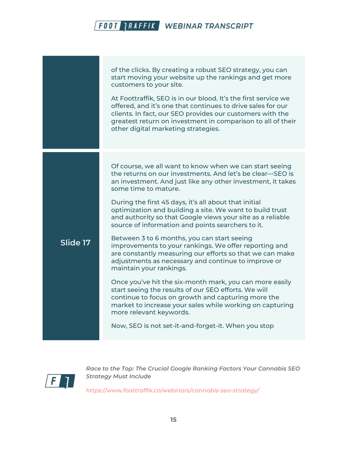|          | of the clicks. By creating a robust SEO strategy, you can<br>start moving your website up the rankings and get more<br>customers to your site.<br>At Foottraffik, SEO is in our blood. It's the first service we<br>offered, and it's one that continues to drive sales for our<br>clients. In fact, our SEO provides our customers with the<br>greatest return on investment in comparison to all of their<br>other digital marketing strategies.                                                                                                                                                                                                                                                                                                                   |
|----------|----------------------------------------------------------------------------------------------------------------------------------------------------------------------------------------------------------------------------------------------------------------------------------------------------------------------------------------------------------------------------------------------------------------------------------------------------------------------------------------------------------------------------------------------------------------------------------------------------------------------------------------------------------------------------------------------------------------------------------------------------------------------|
| Slide 17 | Of course, we all want to know when we can start seeing<br>the returns on our investments. And let's be clear–SEO is<br>an investment. And just like any other investment, it takes<br>some time to mature.<br>During the first 45 days, it's all about that initial<br>optimization and building a site. We want to build trust<br>and authority so that Google views your site as a reliable<br>source of information and points searchers to it.<br>Between 3 to 6 months, you can start seeing<br>improvements to your rankings. We offer reporting and<br>are constantly measuring our efforts so that we can make<br>adjustments as necessary and continue to improve or<br>maintain your rankings.<br>Once you've hit the six-month mark, you can more easily |
|          | start seeing the results of our SEO efforts. We will<br>continue to focus on growth and capturing more the<br>market to increase your sales while working on capturing<br>more relevant keywords.<br>Now, SEO is not set-it-and-forget-it. When you stop                                                                                                                                                                                                                                                                                                                                                                                                                                                                                                             |



*Race to the Top: The Crucial Google Ranking Factors Your Cannabis SEO Strategy Must Include*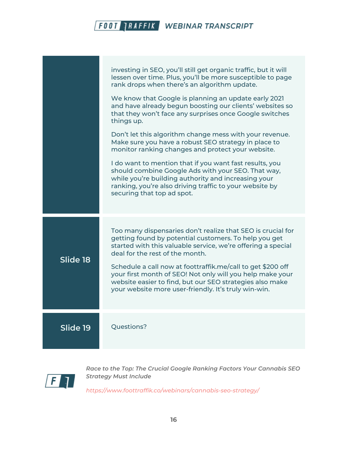|          | investing in SEO, you'll still get organic traffic, but it will<br>lessen over time. Plus, you'll be more susceptible to page<br>rank drops when there's an algorithm update.<br>We know that Google is planning an update early 2021<br>and have already begun boosting our clients' websites so<br>that they won't face any surprises once Google switches<br>things up.<br>Don't let this algorithm change mess with your revenue.<br>Make sure you have a robust SEO strategy in place to<br>monitor ranking changes and protect your website.<br>I do want to mention that if you want fast results, you<br>should combine Google Ads with your SEO. That way,<br>while you're building authority and increasing your<br>ranking, you're also driving traffic to your website by<br>securing that top ad spot. |
|----------|---------------------------------------------------------------------------------------------------------------------------------------------------------------------------------------------------------------------------------------------------------------------------------------------------------------------------------------------------------------------------------------------------------------------------------------------------------------------------------------------------------------------------------------------------------------------------------------------------------------------------------------------------------------------------------------------------------------------------------------------------------------------------------------------------------------------|
| Slide 18 | Too many dispensaries don't realize that SEO is crucial for<br>getting found by potential customers. To help you get<br>started with this valuable service, we're offering a special<br>deal for the rest of the month.<br>Schedule a call now at foottraffik.me/call to get \$200 off<br>your first month of SEO! Not only will you help make your<br>website easier to find, but our SEO strategies also make<br>your website more user-friendly. It's truly win-win.                                                                                                                                                                                                                                                                                                                                             |
| Slide 19 | Questions?                                                                                                                                                                                                                                                                                                                                                                                                                                                                                                                                                                                                                                                                                                                                                                                                          |



*Race to the Top: The Crucial Google Ranking Factors Your Cannabis SEO Strategy Must Include*